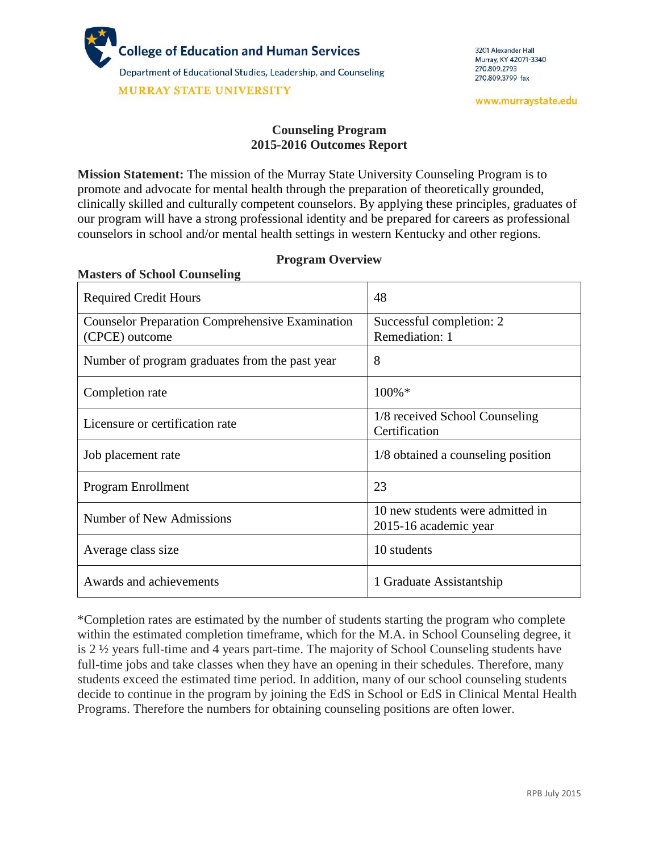

**Masters of School Counseling**

#### **Counseling Program 2015-2016 Outcomes Report**

**Mission Statement:** The mission of the Murray State University Counseling Program is to promote and advocate for mental health through the preparation of theoretically grounded, clinically skilled and culturally competent counselors. By applying these principles, graduates of our program will have a strong professional identity and be prepared for careers as professional counselors in school and/or mental health settings in western Kentucky and other regions.

| <b>Example 19 Of Definition</b> Countering<br><b>Required Credit Hours</b> | 48                                                        |
|----------------------------------------------------------------------------|-----------------------------------------------------------|
| <b>Counselor Preparation Comprehensive Examination</b><br>(CPCE) outcome   | Successful completion: 2<br>Remediation: 1                |
| Number of program graduates from the past year                             | 8                                                         |
| Completion rate                                                            | $100\%$ *                                                 |
| Licensure or certification rate                                            | 1/8 received School Counseling<br>Certification           |
| Job placement rate                                                         | 1/8 obtained a counseling position                        |
| Program Enrollment                                                         | 23                                                        |
| Number of New Admissions                                                   | 10 new students were admitted in<br>2015-16 academic year |
| Average class size                                                         | 10 students                                               |
| Awards and achievements                                                    | 1 Graduate Assistantship                                  |

#### **Program Overview**

\*Completion rates are estimated by the number of students starting the program who complete within the estimated completion timeframe, which for the M.A. in School Counseling degree, it is 2 ½ years full-time and 4 years part-time. The majority of School Counseling students have full-time jobs and take classes when they have an opening in their schedules. Therefore, many students exceed the estimated time period. In addition, many of our school counseling students decide to continue in the program by joining the EdS in School or EdS in Clinical Mental Health Programs. Therefore the numbers for obtaining counseling positions are often lower.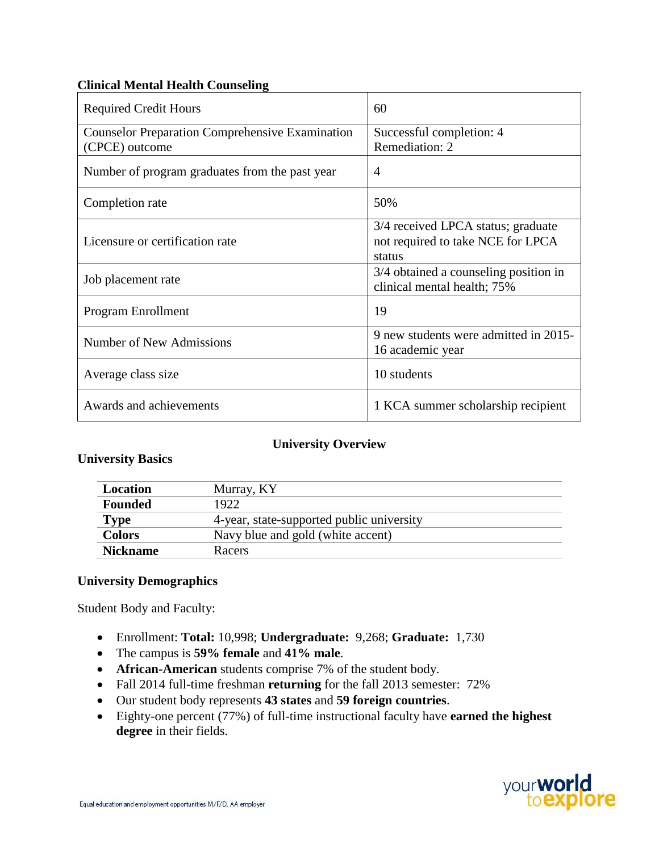# **Clinical Mental Health Counseling**

| <b>Required Credit Hours</b>                                             | 60                                                                                |
|--------------------------------------------------------------------------|-----------------------------------------------------------------------------------|
| <b>Counselor Preparation Comprehensive Examination</b><br>(CPCE) outcome | Successful completion: 4<br>Remediation: 2                                        |
| Number of program graduates from the past year                           | $\overline{4}$                                                                    |
| Completion rate                                                          | 50%                                                                               |
| Licensure or certification rate                                          | 3/4 received LPCA status; graduate<br>not required to take NCE for LPCA<br>status |
| Job placement rate                                                       | 3/4 obtained a counseling position in<br>clinical mental health; 75%              |
| Program Enrollment                                                       | 19                                                                                |
| Number of New Admissions                                                 | 9 new students were admitted in 2015-<br>16 academic year                         |
| Average class size                                                       | 10 students                                                                       |
| Awards and achievements                                                  | 1 KCA summer scholarship recipient                                                |

## **University Overview**

## **University Basics**

| <b>Location</b> | Murray, KY                                |
|-----------------|-------------------------------------------|
| <b>Founded</b>  | 1922                                      |
| <b>Type</b>     | 4-year, state-supported public university |
| <b>Colors</b>   | Navy blue and gold (white accent)         |
| <b>Nickname</b> | Racers                                    |

## **University Demographics**

Student Body and Faculty:

- Enrollment: **Total:** 10,998; **Undergraduate:** 9,268; **Graduate:** 1,730
- The campus is **59% female** and **41% male**.
- **African-American** students comprise 7% of the student body.
- Fall 2014 full-time freshman **returning** for the fall 2013 semester: 72%
- Our student body represents **43 states** and **59 foreign countries**.
- Eighty-one percent (77%) of full-time instructional faculty have **earned the highest degree** in their fields.